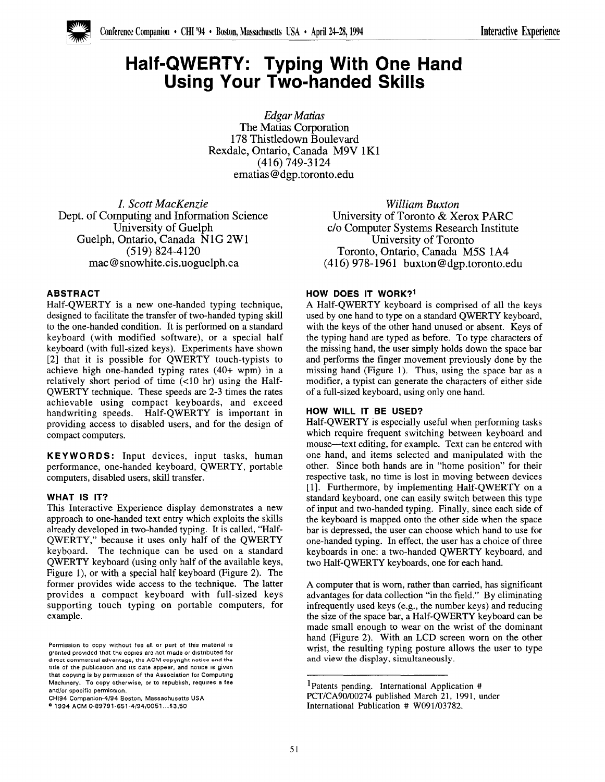

# Half-QWERTY: Typing With One Hand Using Your Two-handed Skills

Edgar Matias The Matias Corporation 178 Thistledown Boulevard Rexdale, Ontario, Canada M9V lK1 (416) 749-3124 ematias @dgp.toronto.edu

I. Scott MacKenzie Dept. of Computing and Information Science University of Guelph Guelph, Ontario, Canada NIG 2W1 (519) 824-4120 mac @snowhite.cis.uoguelph.ca

## ABSTRACT

Half-QWERTY is a new one-handed typing technique, designed to facilitate the transfer of two-handed typing skill to the one-handed condition, It is performed on a standard keyboard (with modified software), or a special half keyboard (with full-sized keys). Experiments have shown [2] that it is possible for OWERTY touch-typists to achieve high one-handed typing rates (40+ wpm) in a relatively short period of time  $(<10$  hr) using the Half-QWERTY technique. These speeds are 2-3 times the rates achievable using compact keyboards, and exceed handwriting speeds. Half-QWERTY is important in providing access to disabled users, and for the design of compact computers.

KEYWORDS: Input devices, input tasks, human performance, one-handed keyboard, QWERTY, portable computers, disabled users, skill transfer.

#### WHAT IS IT?

This Interactive Experience display demonstrates a new approach to one-handed text entry which exploits the skills already developed in two-handed typing. It is called, "Half-QWERTY," because it uses only half of the QWERTY keyboard. The technique can be used on a standard QWERTY keyboard (using only half of the available keys, Figure 1), or with a special half keyboard (Figure 2), The former provides wide access to the technique. The latter provides a compact keyboard with full-sized keys supporting touch typing on portable computers, for example.

William Buxton University of Toronto& Xerox PARC c/o Computer Systems Research Institute University of Toronto Toronto, Ontario, Canada M5S 1A4 (416) 978-1961 buxton@dgp.toronto.edu

### HOW DOES IT WORK?<sup>1</sup>

A Half-QWERTY keyboard is comprised of all the keys used by one hand to type on a standard QWERTY keyboard, with the keys of the other hand unused or absent. Keys of the typing hand are typed as before. To type characters of the missing hand, the user simply holds down the space bar and performs the finger movement previously done by the missing hand (Figure 1). Thus, using the space bar as a modifier, a typist can generate the characters of either side of a fill-sized keyboard, using only one hand.

#### HOW WILL IT BE USED?

Half-QWERTY is especially useful when performing tasks which require frequent switching between keyboard and mouse—text editing, for example. Text can be entered with one hand, and items selected and manipulated with the other. Since both hands are in "home position" for their respective task, no time is lost in moving between devices [1]. Furthermore, by implementing Half-QWERTY on a standard keyboard, one can easily switch between this type of input and two-handed typing. Finally, since each side of the keyboard is mapped onto the other side when the space bar is depressed, the user can choose which hand to use for one-handed typing. In effect, the user has a choice of three keyboards in one: a two-handed QWERTY keyboard, and two Half-QWERTY keyboards, one for each hand.

A computer that is worn, rather than carried, has significant advantages for data collection "in the field." By eliminating infrequently used keys (e.g., the number keys) and reducing the size of the space bar, a Half-QWERTY keyboard can be made small enough to wear on the wrist of the dominant hand (Figure 2). With an LCD screen worn on the other wrist, the resulting typing posture allows the user to type and view the display, simultaneously.

Permission to copy without fee all or part of this material is granted provided that the copies are not made or distributed for direct commercial advantage, the ACM copyright notice and the title of the publication and its date appear, and notice is given that copying is by permission of the Association for Computing Machinery. To copy otherwise, or to republish, requires a fee and/or specific permission.

CH194 Companion-4/94 Boston, Massachusetts USA

e 1994 ACM 0-89791-651-4/94/0051 . ..\$3.50

lPatents pending. International Application # PCT/CA90/00274 published March 21, 1991, under International Publication # W091/03782.